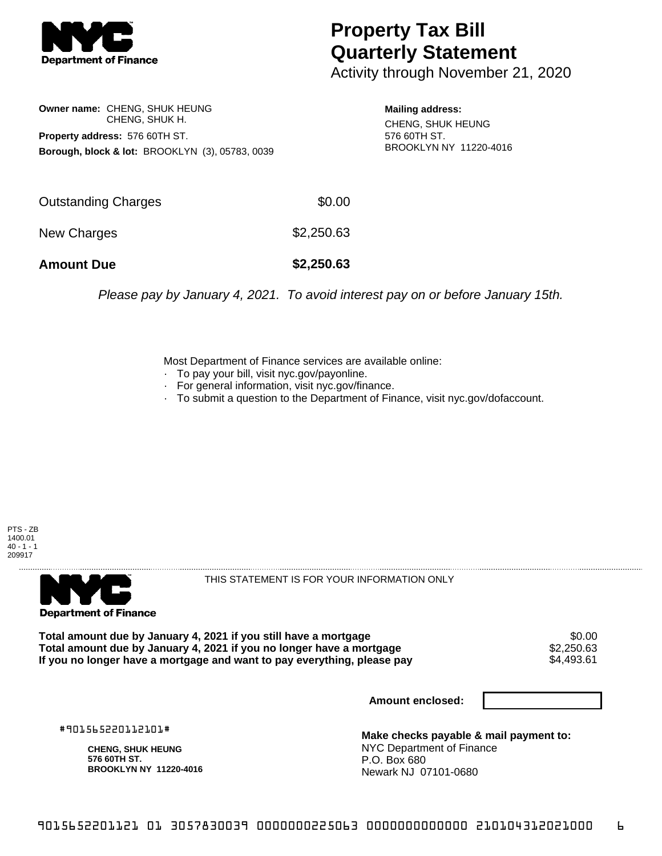

## **Property Tax Bill Quarterly Statement**

Activity through November 21, 2020

**Owner name:** CHENG, SHUK HEUNG CHENG, SHUK H. **Property address:** 576 60TH ST. **Borough, block & lot:** BROOKLYN (3), 05783, 0039

**Mailing address:** CHENG, SHUK HEUNG 576 60TH ST. BROOKLYN NY 11220-4016

| <b>Amount Due</b>   | \$2,250.63 |
|---------------------|------------|
| New Charges         | \$2,250.63 |
| Outstanding Charges | \$0.00     |

Please pay by January 4, 2021. To avoid interest pay on or before January 15th.

Most Department of Finance services are available online:

- · To pay your bill, visit nyc.gov/payonline.
- For general information, visit nyc.gov/finance.
- · To submit a question to the Department of Finance, visit nyc.gov/dofaccount.





THIS STATEMENT IS FOR YOUR INFORMATION ONLY

Total amount due by January 4, 2021 if you still have a mortgage \$0.00<br>Total amount due by January 4, 2021 if you no longer have a mortgage \$2.250.63 **Total amount due by January 4, 2021 if you no longer have a mortgage**  $$2,250.63$ **<br>If you no longer have a mortgage and want to pay everything, please pay** If you no longer have a mortgage and want to pay everything, please pay

**Amount enclosed:**

#901565220112101#

**CHENG, SHUK HEUNG 576 60TH ST. BROOKLYN NY 11220-4016**

**Make checks payable & mail payment to:** NYC Department of Finance P.O. Box 680 Newark NJ 07101-0680